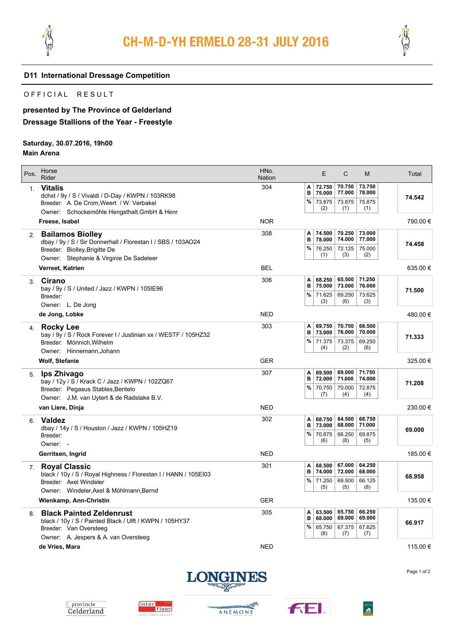



#### **D11 International Dressage Competition**

### OFFICIAL RESULT

# **presented by The Province of Gelderland Dressage Stallions of the Year - Freestyle**

## **Saturday, 30.07.2016, 19h00**

### **Main Arena**

| Pos.           | Horse<br>Rider                                                                             | HNo.<br><b>Nation</b> |        | E                | $\mathsf{C}$     | M                | Total    |
|----------------|--------------------------------------------------------------------------------------------|-----------------------|--------|------------------|------------------|------------------|----------|
| 1 <sub>1</sub> | <b>Vitalis</b><br>dchst / 9y / S / Vivaldi / D-Day / KWPN / 103RK98                        | 304                   | A<br>в | 72.750<br>75.000 | 70.750<br>77.000 | 73.750<br>78.000 | 74.542   |
|                | Breeder: A. De Crom, Weert / W. Verbakel<br>Owner: Schockemöhle Hengsthalt. GmbH & Henr    |                       | %      | 73.875<br>(2)    | 73.875<br>(1)    | 75.875<br>(1)    |          |
|                | Freese, Isabel                                                                             | <b>NOR</b>            |        |                  |                  |                  | 790.00 € |
| 2.             | <b>Bailamos Biolley</b><br>dbay / 9y / S / Sir Donnerhall / Florestan I / SBS / 103AO24    | 308                   | Α<br>B | 74.500<br>78.000 | 70.250<br>74.000 | 73.000<br>77.000 | 74.458   |
|                | Breeder: Biolley, Brigitte De<br>Owner: Stephanie & Virginie De Sadeleer                   |                       | %      | 76.250<br>(1)    | 72.125<br>(3)    | 75.000<br>(2)    |          |
|                | Verreet, Katrien                                                                           | <b>BEL</b>            |        |                  |                  |                  | 635.00€  |
| 3.             | Cirano<br>bay / 9y / S / United / Jazz / KWPN / 105IE96                                    | 306                   | A<br>в | 68.250<br>75.000 | 65.500<br>73.000 | 71.250<br>76.000 | 71.500   |
|                | Breeder:<br>Owner: L. De Jong                                                              |                       | %      | 71.625<br>(3)    | 69.250<br>(6)    | 73.625<br>(3)    |          |
|                | de Jong, Lobke                                                                             | <b>NED</b>            |        |                  |                  |                  | 480.00 € |
| 4.             | Rocky Lee<br>bay / 9y / S / Rock Forever I / Justinian xx / WESTF / 105HZ32                | 303                   | Α<br>B | 69.750<br>73.000 | 70.750<br>76.000 | 68.500<br>70.000 | 71.333   |
|                | Breeder: Mönnich, Wilhelm<br>Owner: Hinnemann, Johann                                      |                       | %      | 71.375<br>(4)    | 73.375<br>(2)    | 69.250<br>(6)    |          |
|                | <b>Wolf, Stefanie</b>                                                                      | <b>GER</b>            |        |                  |                  |                  | 325.00 € |
| 5.             | lps Zhivago<br>bay / 12y / S / Krack C / Jazz / KWPN / 102ZQ67                             | 307                   | A<br>B | 69.500<br>72.000 | 69.000<br>71.000 | 71.750<br>74.000 | 71.208   |
|                | Breeder: Pegasus Stables, Bentelo<br>Owner: J.M. van Uytert & de Radstake B.V.             |                       | %      | 70.750<br>(7)    | 70.000<br>(4)    | 72.875<br>(4)    |          |
|                | van Liere, Dinja                                                                           | <b>NED</b>            |        |                  |                  |                  | 230.00€  |
| 6.             | <b>Valdez</b><br>dbay / 14y / S / Houston / Jazz / KWPN / 105HZ19                          | 302                   | Α<br>B | 68.750<br>73,000 | 64.500<br>68.000 | 68.750<br>71.000 | 69.000   |
|                | Breeder:<br>Owner: -                                                                       |                       | $\%$   | 70.875<br>(6)    | 66.250<br>(8)    | 69.875<br>(5)    |          |
|                | Gerritsen, Ingrid                                                                          | <b>NED</b>            |        |                  |                  |                  | 185.00€  |
| 7 <sup>1</sup> | <b>Royal Classic</b><br>black / 10y / S / Royal Highness / Florestan I / HANN / 105EI03    | 301                   | A<br>в | 68.500<br>74.000 | 67.000<br>72.000 | 64.250<br>68.000 | 68.958   |
|                | Breeder: Axel Windeler<br>Owner: Windeler, Axel & Möhlmann, Bernd                          |                       | %      | 71.250<br>(5)    | 69.500<br>(5)    | 66.125<br>(8)    |          |
|                | Wienkamp, Ann-Christin                                                                     | <b>GER</b>            |        |                  |                  |                  | 135.00 € |
| 8.             | <b>Black Painted Zeldenrust</b><br>black / 10y / S / Painted Black / Ulft / KWPN / 105HY37 | 305                   | A<br>B | 63.500<br>68.000 | 65.750<br>69.000 | 66.250<br>69.000 | 66.917   |
|                | Breeder: Van Oversteeg<br>Owner: A. Jespers & A. van Oversteeg                             |                       | %      | 65.750<br>(8)    | 67.375<br>(7)    | 67.625<br>(7)    |          |
|                | de Vries, Mara                                                                             | <b>NED</b>            |        |                  |                  |                  | 115.00 € |

Page 1 of 2











 $\frac{\overline{\text{WBFSH}}}{\text{min}}$